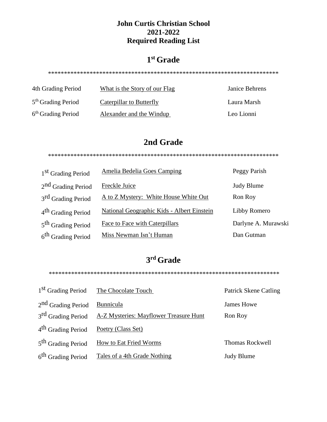#### **John Curtis Christian School** 2021-2022 **Required Reading List**

### $1<sup>st</sup>$  Grade

| 4th Grading Period   | What is the Story of our Flag | Janice Behrens |
|----------------------|-------------------------------|----------------|
| $5th$ Grading Period | Caterpillar to Butterfly      | Laura Marsh    |
| $6th$ Grading Period | Alexander and the Windup      | Leo Lionni     |

#### 2nd Grade

| 1 <sup>st</sup> Grading Period | Amelia Bedelia Goes Camping                | Peggy Parish        |
|--------------------------------|--------------------------------------------|---------------------|
| 2 <sup>nd</sup> Grading Period | Freckle Juice                              | <b>Judy Blume</b>   |
| 3 <sup>rd</sup> Grading Period | A to Z Mystery: White House White Out      | Ron Roy             |
| 4 <sup>th</sup> Grading Period | National Geographic Kids - Albert Einstein | Libby Romero        |
| 5 <sup>th</sup> Grading Period | <b>Face to Face with Caterpillars</b>      | Darlyne A. Murawski |
| 6 <sup>th</sup> Grading Period | Miss Newman Isn't Human                    | Dan Gutman          |

# 3rd Grade

|                                | 1 <sup>st</sup> Grading Period The Chocolate Touch | <b>Patrick Skene Catling</b> |
|--------------------------------|----------------------------------------------------|------------------------------|
| 2 <sup>nd</sup> Grading Period | Bunnicula                                          | James Howe                   |
| 3 <sup>rd</sup> Grading Period | <b>A-Z Mysteries: Mayflower Treasure Hunt</b>      | Ron Roy                      |
| 4 <sup>th</sup> Grading Period | Poetry (Class Set)                                 |                              |
| 5 <sup>th</sup> Grading Period | How to Eat Fried Worms                             | <b>Thomas Rockwell</b>       |
| 6 <sup>th</sup> Grading Period | Tales of a 4th Grade Nothing                       | <b>Judy Blume</b>            |